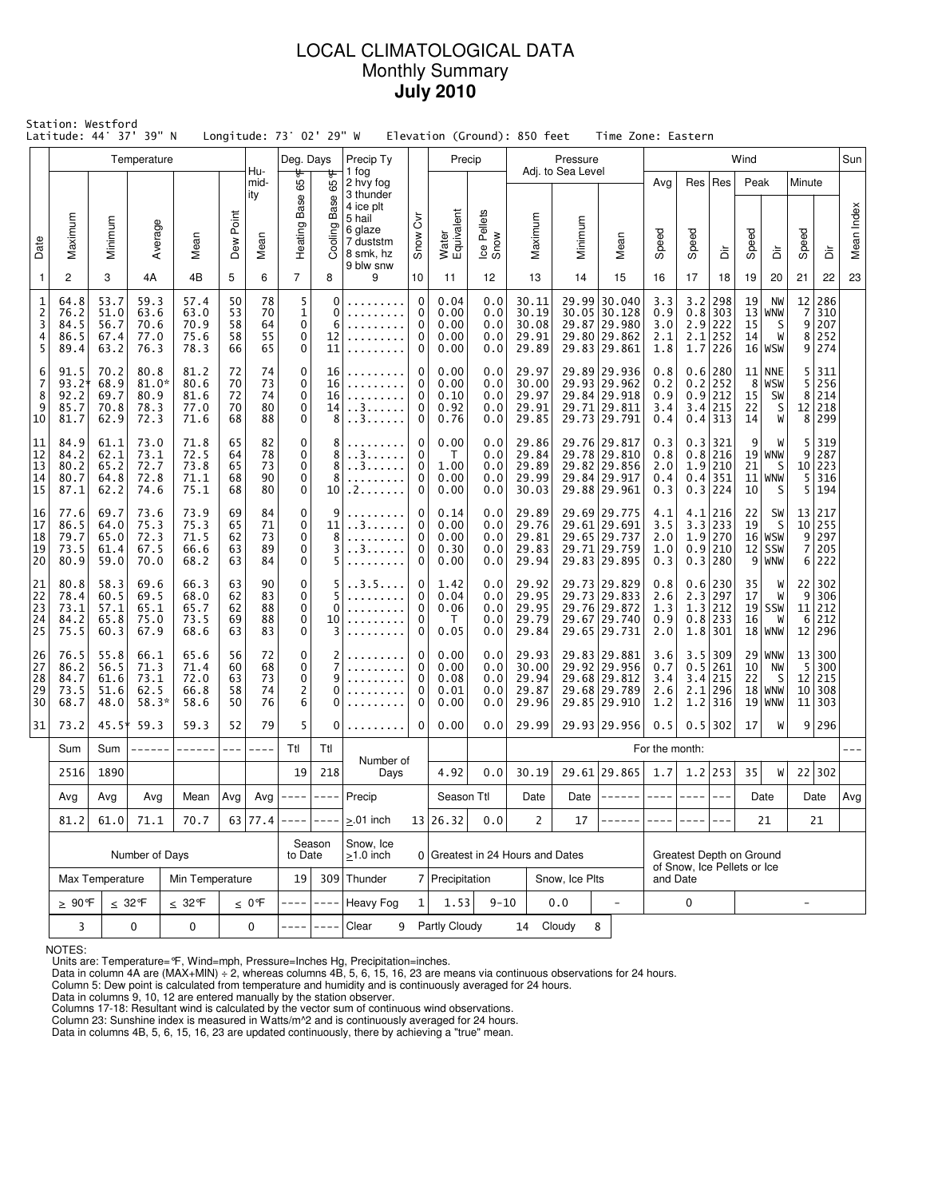# LOCAL CLIMATOLOGICAL DATA Monthly Summary **July 2010**

|                                    | Station: Westford<br>Latitude: 44° 37'<br>39" N<br>Longitude: 73° 02' 29" W<br>Elevation (Ground): 850 feet<br>Time Zone: Eastern<br>Temperature<br>Precip Ty<br>Precip<br>Wind<br>Deg. Days<br>Pressure |                                      |                                         |                                      |                            |                            |                                              |                           |                                                |                                 |                                        |                                 |                                           |                   |                                                                              |                                 |                                                         |                                                                     |                                  |                                              |                                                               |                                    |            |
|------------------------------------|----------------------------------------------------------------------------------------------------------------------------------------------------------------------------------------------------------|--------------------------------------|-----------------------------------------|--------------------------------------|----------------------------|----------------------------|----------------------------------------------|---------------------------|------------------------------------------------|---------------------------------|----------------------------------------|---------------------------------|-------------------------------------------|-------------------|------------------------------------------------------------------------------|---------------------------------|---------------------------------------------------------|---------------------------------------------------------------------|----------------------------------|----------------------------------------------|---------------------------------------------------------------|------------------------------------|------------|
|                                    |                                                                                                                                                                                                          |                                      |                                         |                                      |                            | Hu-                        |                                              |                           | 1 fog                                          |                                 |                                        |                                 |                                           | Adj. to Sea Level |                                                                              |                                 |                                                         |                                                                     |                                  |                                              |                                                               |                                    | Sun        |
|                                    |                                                                                                                                                                                                          |                                      |                                         |                                      | Point                      | mid-<br>ity                | ₩<br>Ğð<br>Base                              | 65°F<br>Base              | 2 hvy fog<br>3 thunder<br>4 ice plt<br>5 hail  | $\overline{\delta}$             |                                        |                                 |                                           |                   |                                                                              | Avg                             |                                                         | Res   Res                                                           | Peak                             |                                              | Minute                                                        |                                    |            |
| Date                               | Maximum                                                                                                                                                                                                  | Minimum                              | Average                                 | Mean                                 | Dew                        | Mean                       | Heating F                                    | Cooling                   | 6 glaze<br>7 duststm<br>8 smk, hz<br>9 blw snw | Snow                            | Water<br>Equivalent                    | Ice Pellets<br>Snow             | Maximum                                   | Minimum           | Mean                                                                         | Speed                           | Speed                                                   | έ                                                                   | Speed                            | ă                                            | Speed                                                         | à                                  | Mean Index |
| $\mathbf{1}$                       | 2                                                                                                                                                                                                        | 3                                    | 4A                                      | 4B                                   | 5                          | 6                          | $\overline{7}$                               | 8                         | 9                                              | 10                              | 11                                     | 12                              | 13                                        | 14                | 15                                                                           | 16                              | 17                                                      | 18                                                                  | 19                               | 20                                           | 21                                                            | 22                                 | 23         |
| 1<br>$\overline{c}$<br>3<br>4<br>5 | 64.8<br>76.2<br>84.5<br>86.5<br>89.4                                                                                                                                                                     | 53.7<br>51.0<br>56.7<br>67.4<br>63.2 | 59.3<br>63.6<br>70.6<br>77.0<br>76.3    | 57.4<br>63.0<br>70.9<br>75.6<br>78.3 | 50<br>53<br>58<br>58<br>66 | 78<br>70<br>64<br>55<br>65 | 5<br>1<br>0<br>0<br>$\mathbf 0$              | 0<br>0<br>6<br>12<br>11   |                                                | $\mathbf 0$<br>0<br>0<br>0<br>0 | 0.04<br>0.00<br>0.00<br>0.00<br>0.00   | 0.0<br>0.0<br>0.0<br>0.0<br>0.0 | 30.11<br>30.19<br>30.08<br>29.91<br>29.89 |                   | 29.99 30.040<br>30.05 30.128<br>29.87 29.980<br>29.80 29.862<br>29.83 29.861 | 3.3<br>0.9<br>3.0<br>2.1<br>1.8 |                                                         | $3.2$   298<br>$0.8$   303<br>$2.9$ 222<br>$2.1$   252<br>$1.7$ 226 | 19<br>13 <br>15<br>14            | NW<br>WNW<br>S<br>W<br>$16 $ WSW             | 12<br>$\overline{7}$<br>$\overline{9}$<br>8<br>$\overline{9}$ | 286<br>310<br>207<br>252<br>274    |            |
| 6<br>7<br>8<br>9<br>10             | 91.5<br>$93.2^{\circ}$<br>92.2<br>85.7<br>81.7                                                                                                                                                           | 70.2<br>68.9<br>69.7<br>70.8<br>62.9 | 80.8<br>$81.0*$<br>80.9<br>78.3<br>72.3 | 81.2<br>80.6<br>81.6<br>77.0<br>71.6 | 72<br>70<br>72<br>70<br>68 | 74<br>73<br>74<br>80<br>88 | 0<br>0<br>0<br>0<br>0                        | 16<br>16<br>16<br>14<br>8 | . . 3.<br>. . 3                                | 0<br>0<br>0<br>0<br>0           | 0.00<br>0.00<br>0.10<br>0.92<br>0.76   | 0.0<br>0.0<br>0.0<br>0.0<br>0.0 | 29.97<br>30.00<br>29.97<br>29.91<br>29.85 |                   | 29.89 29.936<br>29.93 29.962<br>29.84 29.918<br>29.71 29.811<br>29.73 29.791 | 0.8<br>0.2<br>0.9<br>3.4<br>0.4 |                                                         | 0.6 280<br>$0.2$ 252<br>$0.9$ 212<br>3.4 215<br>$0.4$ 313           | 8 <sup>1</sup><br>15<br>22<br>14 | $11$ NNE<br>WSW<br>SW<br>S<br>W              | 5<br>5<br>8<br>12<br>8                                        | 311<br>256<br>214<br>218<br>299    |            |
| 11<br>12<br>13<br>14<br>15         | 84.9<br>84.2<br>80.2<br>80.7<br>87.1                                                                                                                                                                     | 61.1<br>62.1<br>65.2<br>64.8<br>62.2 | 73.0<br>73.1<br>72.7<br>72.8<br>74.6    | 71.8<br>72.5<br>73.8<br>71.1<br>75.1 | 65<br>64<br>65<br>68<br>68 | 82<br>78<br>73<br>90<br>80 | 0<br>0<br>$\pmb{0}$<br>0<br>0                | 8<br>8<br>8<br>8<br>10    | . . 3.<br>. . 3.<br>. 2                        | 0<br>0<br>0<br>0<br>0           |                                        | 0.0<br>0.0<br>0.0<br>0.0<br>0.0 | 29.86<br>29.84<br>29.89<br>29.99<br>30.03 |                   | 29.76 29.817<br>29.78 29.810<br>29.82 29.856<br>29.84 29.917<br>29.88 29.961 | 0.3<br>0.8<br>2.0<br>0.4<br>0.3 |                                                         | $0.3$ 321<br>0.8 216<br>1.9 210<br>$0.4$ 351<br>0.3 224             | 9<br>21<br>11<br>10              | W<br>$19 $ WNW<br>S<br><b>WNW</b><br>S       | 5<br>9<br>10 <sup>1</sup><br>5<br>5 <sup>1</sup>              | 319<br>287<br>223<br>316<br>194    |            |
| 16<br>17<br>18<br>19<br>20         | 77.6<br>86.5<br>79.7<br>73.5<br>80.9                                                                                                                                                                     | 69.7<br>64.0<br>65.0<br>61.4<br>59.0 | 73.6<br>75.3<br>72.3<br>67.5<br>70.0    | 73.9<br>75.3<br>71.5<br>66.6<br>68.2 | 69<br>65<br>62<br>63<br>63 | 84<br>71<br>73<br>89<br>84 | 0<br>$\pmb{0}$<br>$\pmb{0}$<br>0<br>0        | 9<br>11<br>8<br>3<br>5    | . . 3.<br>. . 3                                | 0<br>0<br>0<br>0<br>0           | 0.14<br>0.00<br>0.00<br>0.30<br>0.00   | 0.0<br>0.0<br>0.0<br>0.0<br>0.0 | 29.89<br>29.76<br>29.81<br>29.83<br>29.94 |                   | 29.69 29.775<br>29.61 29.691<br>29.65 29.737<br>29.71 29.759<br>29.83 29.895 | 4.1<br>3.5<br>2.0<br>1.0<br>0.3 |                                                         | $4.1$   216<br>3.3 233<br>$1.9$   270<br>0.9 210<br>0.3 280         | 22<br>19                         | SW<br>S<br>$16 $ WSW<br>$12$ SSW<br>$9 $ WNW | 13 <br>10 <sup>1</sup><br>$\overline{9}$<br>7<br>$6 \mid$     | 217<br>255<br>297<br>205<br> 222   |            |
| 21<br>22<br>23<br>24<br>25         | 80.8<br>78.4<br>73.1<br>84.2<br>75.5                                                                                                                                                                     | 58.3<br>60.5<br>57.1<br>65.8<br>60.3 | 69.6<br>69.5<br>65.1<br>75.0<br>67.9    | 66.3<br>68.0<br>65.7<br>73.5<br>68.6 | 63<br>62<br>62<br>69<br>63 | 90<br>83<br>88<br>88<br>83 | 0<br>0<br>$\mathbf 0$<br>$\mathbf 0$<br>0    | 5<br>5<br>0<br>10<br>3    | . . 3 . 5<br>.                                 | 0<br>0<br>0<br>0<br>$\mathbf 0$ | 1.42<br>0.04<br>0.06<br>$\top$<br>0.05 | 0.0<br>0.0<br>0.0<br>0.0<br>0.0 | 29.92<br>29.95<br>29.95<br>29.79<br>29.84 |                   | 29.73 29.829<br>29.73 29.833<br>29.76 29.872<br>29.67 29.740<br>29.65 29.731 | 0.8<br>2.6<br>1.3<br>0.9<br>2.0 |                                                         | 0.6 230<br>2.3 297<br>1.3 212<br>$0.8$  233<br>$1.8$   301          | 35<br>17<br>16                   | W<br>W<br>$19$ SSW<br>W<br>$18$ WNW          | 22<br>9<br>11<br>6                                            | 302<br>306<br>212<br>212<br>12 296 |            |
| 26<br>27<br>28<br>29<br>30         | 76.5<br>86.2<br>84.7<br>73.5<br>68.7                                                                                                                                                                     | 55.8<br>56.5<br>61.6<br>51.6<br>48.0 | 66.1<br>71.3<br>73.1<br>62.5<br>$58.3*$ | 65.6<br>71.4<br>72.0<br>66.8<br>58.6 | 56<br>60<br>63<br>58<br>50 | 72<br>68<br>73<br>74<br>76 | 0<br>0<br>$\mathbf 0$<br>$\overline{c}$<br>6 | 2<br>7<br>9<br>0<br>0     |                                                | 0<br>0<br>0<br>0<br>0           | 0.00<br>0.00<br>0.08<br>0.01<br>0.00   | 0.0<br>0.0<br>0.0<br>0.0<br>0.0 | 29.93<br>30.00<br>29.94<br>29.87<br>29.96 |                   | 29.83 29.881<br>29.92 29.956<br>29.68 29.812<br>29.68 29.789<br>29.85 29.910 | 3.6<br>0.7<br>3.4<br>2.6<br>1.2 | 2.1                                                     | $3.5$   309<br>0.5 261<br>3.4 215<br>296<br>$1.2$ 316               | 10<br>22                         | 29 WNW<br>NW<br>S<br>18   WNW<br>$19$ WNW    | 13<br>5<br>12<br>10 <sub>1</sub><br>11                        | 300<br>300<br>215<br>308<br>303    |            |
| 31                                 | 73.2                                                                                                                                                                                                     | 45.5*                                | 59.3                                    | 59.3                                 | 52                         | 79                         | 5                                            | 0                         | .                                              | 0                               | 0.00                                   | 0.0                             | 29.99                                     |                   | 29.93 29.956                                                                 | 0.5                             |                                                         | $0.5$   302                                                         | 17                               | W                                            |                                                               | 9 296                              |            |
|                                    | Sum                                                                                                                                                                                                      | Sum                                  | ------                                  | ------                               | ---                        | ----                       | Ttl                                          | Ttl                       | Number of                                      |                                 |                                        |                                 |                                           |                   |                                                                              | For the month:                  |                                                         |                                                                     |                                  |                                              |                                                               |                                    |            |
|                                    | 2516                                                                                                                                                                                                     | 1890                                 |                                         |                                      |                            |                            | 19                                           | 218                       | Days                                           |                                 | 4.92                                   | 0.0                             | 30.19                                     |                   | 29.61 29.865                                                                 | 1.7                             |                                                         | $1.2$ 253                                                           | 35                               | W                                            |                                                               | 22 302                             |            |
|                                    | Avg                                                                                                                                                                                                      | Avg                                  | Avg                                     | Mean                                 | Avg                        | Avg  <br>63 77.4           | $\cdots$                                     | $- - - - -$               | Precip<br>$> 01$ inch                          |                                 | Season Ttl                             | 0.0                             | Date                                      | Date              |                                                                              |                                 |                                                         |                                                                     |                                  | Date                                         |                                                               | Date                               | Avg        |
|                                    | 81.2                                                                                                                                                                                                     | 61.0                                 | 71.1                                    | 70.7                                 |                            |                            | $- - - -$                                    | $- - - -$<br>Season       | Snow, Ice                                      |                                 | 13 26.32                               |                                 | $\overline{2}$                            | 17                |                                                                              |                                 |                                                         | $- - -$                                                             |                                  | 21                                           |                                                               | 21                                 |            |
|                                    |                                                                                                                                                                                                          |                                      | Number of Days                          |                                      |                            |                            | to Date                                      |                           | $>1.0$ inch                                    |                                 | 0 Greatest in 24 Hours and Dates       |                                 |                                           |                   |                                                                              |                                 | Greatest Depth on Ground<br>of Snow, Ice Pellets or Ice |                                                                     |                                  |                                              |                                                               |                                    |            |
|                                    | Max Temperature<br>Min Temperature                                                                                                                                                                       |                                      |                                         |                                      |                            |                            | 19                                           | 309                       | Thunder                                        |                                 | 7 Precipitation                        |                                 |                                           | Snow, Ice Plts    |                                                                              | and Date                        |                                                         |                                                                     |                                  |                                              |                                                               |                                    |            |
|                                    | $≤ 32 °F$<br>$\geq 90$ °F<br>$\leq 32$ °F<br>$\leq 0$ °F                                                                                                                                                 |                                      |                                         |                                      |                            |                            |                                              |                           | <b>Heavy Fog</b>                               | $\mathbf{1}$                    | 1.53                                   | $9 - 10$                        |                                           | 0.0               | $\overline{a}$                                                               |                                 | 0                                                       |                                                                     |                                  |                                              | $\overline{\phantom{a}}$                                      |                                    |            |
|                                    | 3                                                                                                                                                                                                        |                                      | 0                                       | 0                                    |                            | 0                          |                                              |                           | Clear<br>9                                     |                                 | Partly Cloudy                          |                                 | 14 Cloudy                                 |                   | 8                                                                            |                                 |                                                         |                                                                     |                                  |                                              |                                                               |                                    |            |

NOTES:

Units are: Temperature=°F, Wind=mph, Pressure=Inches Hg, Precipitation=inches. Data in column 4A are (MAX+MIN) ÷ 2, whereas columns 4B, 5, 6, 15, 16, 23 are means via continuous observations for 24 hours.

Column 5: Dew point is calculated from temperature and humidity and is continuously averaged for 24 hours. Data in columns 9, 10, 12 are entered manually by the station observer.

Columns 17-18: Resultant wind is calculated by the vector sum of continuous wind observations.<br>Column 23: Sunshine index is measured in Watts/m^2 and is continuously averaged for 24 hours.<br>Data in columns 4B, 5, 6, 15, 16,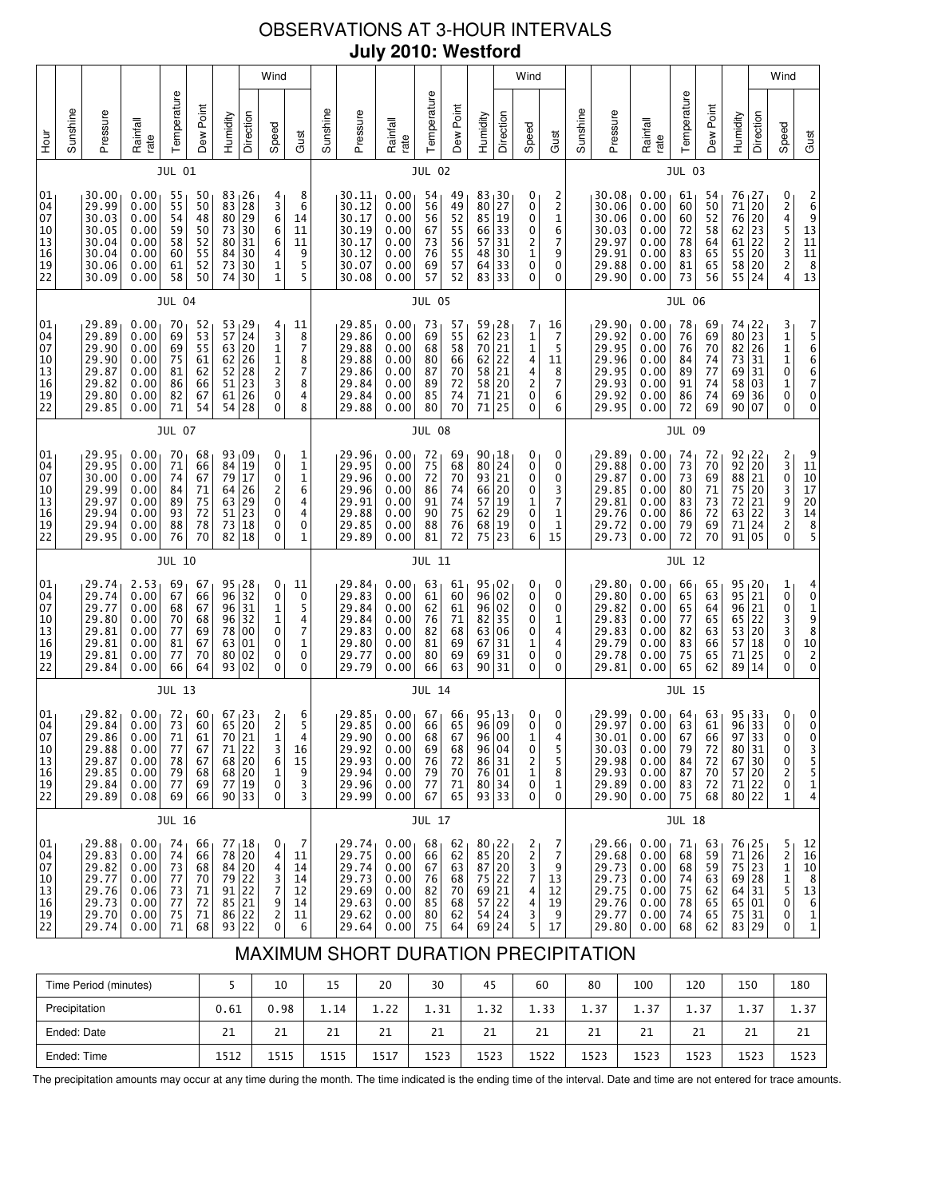# OBSERVATIONS AT 3-HOUR INTERVALS **July 2010: Westford**

|                                                                             |                                                                                                                                                                                                                                                                                                                                                                                                                                                                                                        |                                                                      |                                                                           |                                              |                                              |                                                  |                                                                                                                     | Wind                                                                          |                                                |                                                                      |                                                                      |                                                              |                                              |                                                              |                                                                                                           |                                                | Wind                                        |                                                   |                                                                      |                                                                      |                                                              |                                                     |                                                       |                                                                      |                                          | Wind                                           |                                                                                |
|-----------------------------------------------------------------------------|--------------------------------------------------------------------------------------------------------------------------------------------------------------------------------------------------------------------------------------------------------------------------------------------------------------------------------------------------------------------------------------------------------------------------------------------------------------------------------------------------------|----------------------------------------------------------------------|---------------------------------------------------------------------------|----------------------------------------------|----------------------------------------------|--------------------------------------------------|---------------------------------------------------------------------------------------------------------------------|-------------------------------------------------------------------------------|------------------------------------------------|----------------------------------------------------------------------|----------------------------------------------------------------------|--------------------------------------------------------------|----------------------------------------------|--------------------------------------------------------------|-----------------------------------------------------------------------------------------------------------|------------------------------------------------|---------------------------------------------|---------------------------------------------------|----------------------------------------------------------------------|----------------------------------------------------------------------|--------------------------------------------------------------|-----------------------------------------------------|-------------------------------------------------------|----------------------------------------------------------------------|------------------------------------------|------------------------------------------------|--------------------------------------------------------------------------------|
| <b>Hour</b>                                                                 | Sunshine                                                                                                                                                                                                                                                                                                                                                                                                                                                                                               | Pressure                                                             | Rainfall<br>rate                                                          | Temperature                                  | Dew Point                                    | Humidity                                         | Direction                                                                                                           | Speed                                                                         | Gust                                           | Sunshine                                                             | Pressure                                                             | Rainfall<br>rate                                             | Temperature                                  | Dew Point                                                    | Humidity                                                                                                  | Direction                                      | Speed                                       | Gust                                              | Sunshine                                                             | Pressure                                                             | Rainfall<br>rate                                             | Temperature                                         | Dew Point                                             | Humidity                                                             | Direction                                | Speed                                          | Gust                                                                           |
|                                                                             |                                                                                                                                                                                                                                                                                                                                                                                                                                                                                                        |                                                                      |                                                                           | JUL 01                                       |                                              |                                                  |                                                                                                                     |                                                                               |                                                |                                                                      |                                                                      |                                                              | <b>JUL 02</b>                                |                                                              |                                                                                                           |                                                |                                             |                                                   |                                                                      |                                                                      |                                                              | <b>JUL 03</b>                                       |                                                       |                                                                      |                                          |                                                |                                                                                |
| 01<br>04<br>07<br>10<br>13<br>16<br>$\begin{array}{c} 19 \\ 22 \end{array}$ |                                                                                                                                                                                                                                                                                                                                                                                                                                                                                                        | 30.00<br>29.99<br>30.03<br>30.05<br>30.04<br>30.04<br>30.06<br>30.09 | 0.00<br>0.00<br>0.00<br>0.00<br>0.00<br>0.00<br>0.00<br>0.00              | 55<br>55<br>54<br>59<br>58<br>60<br>61<br>58 | 50<br>50<br>48<br>50<br>52<br>55<br>52<br>50 | 83<br>83<br>80<br>$73\,$<br>80<br>84<br>73<br>74 | $\begin{array}{ c} 26 \\ 28 \\ 29 \end{array}$<br>30<br>31<br>30<br>30<br>30                                        | 4<br>З<br>б<br>6<br>$\overline{6}$<br>4<br>$\frac{1}{1}$                      | 8<br>6<br>14<br>11<br>11<br>9<br>$\frac{5}{5}$ |                                                                      | 30.11<br>30.12<br>30.17<br>30.19<br>30.17<br>30.12<br>30.07<br>30.08 | 0.00<br>0.00<br>0.00<br>0.00<br>0.00<br>0.00<br>0.00<br>0.00 | 54<br>56<br>56<br>67<br>73<br>76<br>69<br>57 | 49<br>49<br>52<br>55<br>$\frac{56}{55}$<br>57<br>52          | 83 30<br>$\begin{array}{c} 80 & 27 \\ 85 & 19 \end{array}$<br>66 33<br>57<br>48 30<br>64 <br>83 33        | 31<br>33                                       | 0<br>0<br>0<br>0<br>2<br>1<br>0<br>0        | 2<br>2<br>1<br>6<br>7<br>9<br>0<br>0              |                                                                      | 30.08<br>30.06<br>30.06<br>30.03<br>29.97<br>29.91<br>29.88<br>29.90 | 0.00<br>0.00<br>0.00<br>0.00<br>0.00<br>0.00<br>0.00<br>0.00 | 61<br>60<br>60<br>72<br>78<br>83<br>81<br>73        | 54<br>$\frac{50}{52}$<br>58<br>64<br>65<br>65<br>56   | 76<br>71<br>76<br>$62$ 23<br>61<br>55<br>58<br>55                    | 27  <br>20<br>20<br>22<br>20<br>20<br>24 | 02452324                                       | $\begin{array}{c} 2 \\ 6 \\ 9 \\ 13 \\ 11 \\ 11 \\ 8 \\ 13 \end{array}$        |
|                                                                             |                                                                                                                                                                                                                                                                                                                                                                                                                                                                                                        |                                                                      |                                                                           | <b>JUL 04</b>                                |                                              |                                                  |                                                                                                                     |                                                                               |                                                |                                                                      |                                                                      |                                                              | <b>JUL 05</b>                                |                                                              |                                                                                                           |                                                |                                             |                                                   |                                                                      |                                                                      |                                                              | <b>JUL 06</b>                                       |                                                       |                                                                      |                                          |                                                |                                                                                |
| 01<br>04<br>07<br>10<br>13<br>16<br>19<br>22                                | 29.89<br>0.00<br>$\frac{53}{57}$ 29<br>70<br>52<br>4<br>11<br>29.89<br>53<br>3<br>0.00<br>69<br>8<br>$\begin{bmatrix} 63 & 20 \\ 62 & 26 \\ 52 & 28 \\ 51 & 23 \\ 51 & 25 \end{bmatrix}$<br>$\begin{array}{c} 1 \\ 1 \\ 2 \\ 3 \end{array}$<br>$\overline{7}$<br>29.90<br>0.00<br>69<br>55<br>29.90<br>0.00<br>75<br>61<br>8<br>81<br>7<br>29.87<br>0.00<br>62<br>29.82<br>86<br>8<br>0.00<br>66<br>61<br>26<br>0<br>4<br>29.80<br>82<br>0.00<br>67<br>28<br>0<br>8<br>29.85<br>54<br>0.00<br>71<br>54 |                                                                      |                                                                           |                                              |                                              |                                                  |                                                                                                                     |                                                                               |                                                | 29.85<br>29.86<br>29.88<br>29.88<br>29.86<br>29.84<br>29.84<br>29.88 | 0.00<br>0.00<br>0.00<br>0.00<br>0.00<br>0.00<br>0.00<br>0.00         | 73<br>69<br>68<br>80<br>87<br>89<br>85<br>80                 | 57<br>55<br>58<br>66<br>70<br>72<br>74<br>70 | 59<br>62<br>$70$   21<br>62<br>58 21<br>58 20<br>71<br>71 25 | $\begin{array}{c} 28 \\ 23 \end{array}$<br> 22<br>$\vert$ 21                                              | 7<br>1<br>$\mathbf 1$<br>4<br>4<br>2<br>0<br>0 | 16<br>7<br>5<br>11<br>8<br>7<br>6<br>6      |                                                   | 29.90<br>29.92<br>29.95<br>29.96<br>29.95<br>29.93<br>29.92<br>29.95 | 0.00<br>0.00<br>0.00<br>0.00<br>0.00<br>0.00<br>0.00<br>0.00         | 78<br>76<br>76<br>84<br>89<br>91<br>86<br>72                 | 69<br>69<br>70<br>$\frac{74}{77}$<br>74<br>74<br>69 | 74,22<br>80<br>82 26<br>73<br>69<br>58<br>69 36<br>90 | 23<br>31<br> 31<br>03<br>07                                          | 31110<br>$\mathbf 1$<br>0<br>0           | 7566670<br>0                                   |                                                                                |
|                                                                             | JUL 07                                                                                                                                                                                                                                                                                                                                                                                                                                                                                                 |                                                                      |                                                                           |                                              |                                              |                                                  |                                                                                                                     |                                                                               |                                                |                                                                      |                                                                      | <b>JUL 08</b>                                                |                                              |                                                              |                                                                                                           |                                                |                                             |                                                   |                                                                      |                                                                      | <b>JUL 09</b>                                                |                                                     |                                                       |                                                                      |                                          |                                                |                                                                                |
| 01<br>04<br>07<br>10<br>$\begin{array}{c} 13 \\ 16 \end{array}$<br>19<br>22 |                                                                                                                                                                                                                                                                                                                                                                                                                                                                                                        | 29.95<br>29.95<br>30.00<br>29.99<br>29.97<br>29.94<br>29.94<br>29.95 | 0.00<br>0.00<br>0.00<br>0.00<br>0.00<br>0.00<br>0.00<br>0.00              | 70<br>71<br>74<br>84<br>89<br>93<br>88<br>76 | 68<br>66<br>67<br>71<br>75<br>72<br>78<br>70 | 84<br>$\bf 79$<br>64<br>63<br>51<br>73<br>82     | 93 09<br>19<br>17<br>26<br>$\begin{array}{c} 29 \\ 23 \end{array}$<br>18<br>18                                      | 0<br>0<br>$\mathbf 0$<br>2<br>0<br>0<br>0<br>0                                | 1<br>$\frac{1}{1}$<br>6<br>4<br>4<br>0<br>1    |                                                                      | 29.96<br>29.95<br>29.96<br>29.96<br>29.91<br>29.88<br>29.85<br>29.89 | 0.00<br>0.00<br>0.00<br>0.00<br>0.00<br>0.00<br>0.00<br>0.00 | 72<br>75<br>72<br>86<br>91<br>90<br>88<br>81 | 69<br>68<br>70<br>74<br>74<br>75<br>76<br>72                 | $90_118$<br>80 24<br>93 21<br>66 20<br>57 19<br>62<br>68 19<br>75                                         | 29<br>23                                       | 0<br>0<br>0<br>0<br>1<br>0<br>0<br>6        | 0<br>0<br>0<br>3<br>7<br>1<br>1<br>15             |                                                                      | 29.89<br>29.88<br>29.87<br>29.85<br>29.81<br>29.76<br>29.72<br>29.73 | 0.00<br>0.00<br>0.00<br>0.00<br>0.00<br>0.00<br>0.00<br>0.00 | 74<br>73<br>73<br>80<br>83<br>86<br>79<br>72        | 72<br>70<br>69<br>71<br>73<br>72<br>69<br>70          | $92 \mid 22$<br>92<br>88<br>75<br>72<br>63<br>71<br>91               | 20<br>21<br>20<br>21<br>22<br>24<br>05   | 2303932<br>0                                   | 9<br>$\begin{array}{c} 11 \\ 10 \\ 17 \\ 20 \\ 14 \\ 8 \\ 5 \end{array}$       |
|                                                                             |                                                                                                                                                                                                                                                                                                                                                                                                                                                                                                        |                                                                      |                                                                           | JUL 10                                       |                                              |                                                  |                                                                                                                     |                                                                               |                                                |                                                                      |                                                                      |                                                              | <b>JUL 11</b>                                |                                                              |                                                                                                           |                                                |                                             |                                                   |                                                                      |                                                                      |                                                              | <b>JUL 12</b>                                       |                                                       |                                                                      |                                          |                                                |                                                                                |
| 01<br>04<br>07<br>10<br>13<br>16<br>19<br>22                                |                                                                                                                                                                                                                                                                                                                                                                                                                                                                                                        | 29.74<br>29.74<br>29.77<br>29.80<br>29.81<br>29.81<br>29.81<br>29.84 | 2.53<br>0.00<br>0.00<br>0.00<br>0.00<br>0.00<br>0.00<br>0.00              | 69<br>67<br>68<br>70<br>77<br>81<br>77<br>66 | 67<br>66<br>67<br>68<br>69<br>67<br>70<br>64 | 96<br>96<br>78<br>63<br>80                       | $\begin{array}{c c} 95 & 28 \\ 96 & 32 \end{array}$<br>31<br>32<br>00<br>01<br>02<br>93 02                          | 0<br>$\mathbf 0$<br>1<br>$\mathbf{1}$<br>0<br>$\pmb{0}$<br>0<br>0             | 11<br>0<br>5<br>4<br>7<br>1<br>0<br>0          |                                                                      | 29.84<br>29.83<br>29.84<br>29.84<br>29.83<br>29.80<br>29.77<br>29.79 | 0.00<br>0.00<br>0.00<br>0.00<br>0.00<br>0.00<br>0.00<br>0.00 | 63<br>61<br>62<br>76<br>82<br>81<br>80<br>66 | 61<br>60<br>61<br>71<br>68<br>69<br>69<br>63                 | $95 \, 02$<br>96 02<br>96 02<br>82 35<br>63 06<br>67<br>69                                                | 31<br>31<br>90 31                              | 0<br>0<br>0<br>0<br>0<br>1<br>0<br>0        | 0<br>0<br>0<br>1<br>4<br>4<br>0<br>0              |                                                                      | 29.80<br>29.80<br>29.82<br>29.83<br>29.83<br>29.79<br>29.78<br>29.81 | 0.00<br>0.00<br>0.00<br>0.00<br>0.00<br>0.00<br>0.00<br>0.00 | 66<br>65<br>65<br>77<br>82<br>83<br>75<br>65        | 65<br>63<br>64<br>65<br>63<br>66<br>65<br>62          | $95 \, 20$<br>95<br>96<br>65<br>53 20<br>57<br>71<br>89              | 21<br> 21<br>22<br>18<br>25<br>14        | $\frac{1}{0}$<br>0<br>3<br>3<br>0<br>0<br>0    | $\begin{smallmatrix} 4 & 0 \\ 0 & 1 \\ 9 & 8 \\ 10 & 2 \end{smallmatrix}$<br>0 |
|                                                                             | <b>JUL 13</b>                                                                                                                                                                                                                                                                                                                                                                                                                                                                                          |                                                                      |                                                                           |                                              |                                              |                                                  |                                                                                                                     |                                                                               |                                                |                                                                      | <b>JUL 14</b>                                                        |                                                              |                                              |                                                              |                                                                                                           |                                                |                                             |                                                   |                                                                      | <b>JUL 15</b>                                                        |                                                              |                                                     |                                                       |                                                                      |                                          |                                                |                                                                                |
| 01<br>04<br>07<br>10<br>13<br>16<br>19<br>22                                |                                                                                                                                                                                                                                                                                                                                                                                                                                                                                                        | 29.82<br>29.84<br>29.86<br>29.88<br>29.87<br>29.85<br>29.84<br>29.89 | 0.00 <sub>1</sub><br>0.00<br>0.00<br>0.00<br>0.00<br>0.00<br>0.00<br>0.08 | 72<br>73<br>71<br>77<br>78<br>79<br>77<br>69 | 60<br>60<br>61<br>67<br>67<br>68<br>69<br>66 | 71                                               | $67 \mid 23$<br>65 20<br>70 21<br>22<br>$\begin{array}{ c c }\n 68 & 20 \\  68 & 20\n\end{array}$<br>77 19<br>90 33 | $\begin{array}{c} 2 \\ 2 \\ 1 \end{array}$<br>3<br>6<br>$\mathbf 1$<br>0<br>0 | 6<br>5<br>4<br>16<br>15<br>9<br>3<br>3         |                                                                      | 29.85<br>29.85<br>29.90<br>29.92<br>29.93<br>29.94<br>29.96<br>29.99 | 0.00<br>0.00<br>0.00<br>0.00<br>0.00<br>0.00<br>0.00<br>0.00 | 67<br>66<br>68<br>69<br>76<br>79<br>77<br>67 | 66<br>65<br>67<br>68<br>72<br>70<br>71<br>65                 | 95, 13<br>96 09<br>86 31<br>76 01<br>93 33                                                                | 96 00<br>96   04<br>80 34                      | 0<br>0<br>1<br>0<br>2<br>1<br>0<br>0        | 0<br>0<br>$\overline{4}$<br>5<br>5<br>8<br>1<br>0 |                                                                      | 29.99<br>29.97<br>30.01<br>30.03<br>29.98<br>29.93<br>29.89<br>29.90 | 0.00<br>0.00<br>0.00<br>0.00<br>0.00<br>0.00<br>0.00<br>0.00 | 64<br>63<br>67<br>79<br>84<br>87<br>83<br>75        | 63<br>61<br>66<br>72<br>$\frac{72}{70}$<br>72<br>68   | $95 \mid 33$<br>96<br>97<br>80 31<br>67<br>57 20<br>71 22<br>80 22   | 33<br>33<br>30                           | 0<br>0<br>0<br>0<br>0<br>2<br>0<br>$\mathbf 1$ | 0<br>0<br>0<br>3<br>5<br>5<br>1<br>4                                           |
|                                                                             |                                                                                                                                                                                                                                                                                                                                                                                                                                                                                                        |                                                                      |                                                                           | <b>JUL 16</b>                                |                                              |                                                  |                                                                                                                     |                                                                               |                                                |                                                                      |                                                                      |                                                              | <b>JUL 17</b>                                |                                                              |                                                                                                           |                                                |                                             |                                                   |                                                                      |                                                                      |                                                              | <b>JUL 18</b>                                       |                                                       |                                                                      |                                          |                                                |                                                                                |
| 01<br>04<br>07<br>10<br>13<br>16<br>19<br>22                                |                                                                                                                                                                                                                                                                                                                                                                                                                                                                                                        | 29.88<br>29.83<br>29.82<br>29.77<br>29.76<br>29.73<br>29.70<br>29.74 | 0.00<br>0.00<br>0.00<br>0.00<br>0.06<br>0.00<br>0.00<br>0.00              | 74<br>74<br>73<br>77<br>73<br>77<br>75<br>71 | 66<br>66<br>68<br>70<br>71<br>72<br>71<br>68 | 93 22                                            | 77 18<br>78 20<br>84 20<br>79 22<br>91 22<br>85 21<br>86 22                                                         | $\mathbf{0}$<br>4<br>4<br>3<br>7<br>9<br>$\mathbf{2}$<br>0                    | 7<br>11<br>14<br>14<br>12<br>14<br>11<br>6     |                                                                      | 29.74<br>29.75<br>29.74<br>29.73<br>29.69<br>29.63<br>29.62<br>29.64 | 0.00<br>0.00<br>0.00<br>0.00<br>0.00<br>0.00<br>0.00<br>0.00 | 68<br>66<br>67<br>76<br>82<br>85<br>80<br>75 | 62<br>62<br>63<br>68<br>70<br>68<br>62<br>64                 | $\begin{array}{c c} 80 & 22 \\ 85 & 20 \end{array}$<br>87 20<br>75 22<br>69 21<br>57 22<br>54 24<br>69 24 |                                                | 2<br>$\frac{2}{3}$<br>7<br>4<br>4<br>3<br>5 | 7<br>7<br>9<br>13<br>12<br>19<br>9<br>17          |                                                                      | 29.66<br>29.68<br>29.73<br>29.73<br>29.75<br>29.76<br>29.77<br>29.80 | 0.00<br>0.00<br>0.00<br>0.00<br>0.00<br>0.00<br>0.00<br>0.00 | 71<br>68<br>68<br>74<br>75<br>78<br>74<br>68        | 63<br>59<br>59<br>63<br>62<br>65<br>65<br>62          | 76 25<br>71 26<br>75 23<br>69 28<br>64 31<br>65 01<br>75 31<br>83 29 |                                          | 52115<br>0<br>0<br>0                           | 12<br>16<br>10<br>$\begin{array}{c} 8 \\ 13 \end{array}$<br>6<br>$\frac{1}{1}$ |

# MAXIMUM SHORT DURATION PRECIPITATION

| Time Period (minutes) |      | 10   | 15   | 20   | 30   | 45   | 60   | 80   | 100  | 120  | 150  | 180  |
|-----------------------|------|------|------|------|------|------|------|------|------|------|------|------|
| Precipitation         | 0.61 | 0.98 | 1.14 | 1.22 | 1.31 | 1.32 | 1.33 | 1.37 | 1.37 | 1.37 | 1.37 | 1.37 |
| Ended: Date           | 21   | 21   | 21   | 21   | 21   | 21   | 21   | 21   | 21   | 21   | 21   | 21   |
| Ended: Time           | 1512 | 1515 | 1515 | 1517 | 1523 | 1523 | 1522 | 1523 | 1523 | 1523 | 1523 | 1523 |

The precipitation amounts may occur at any time during the month. The time indicated is the ending time of the interval. Date and time are not entered for trace amounts.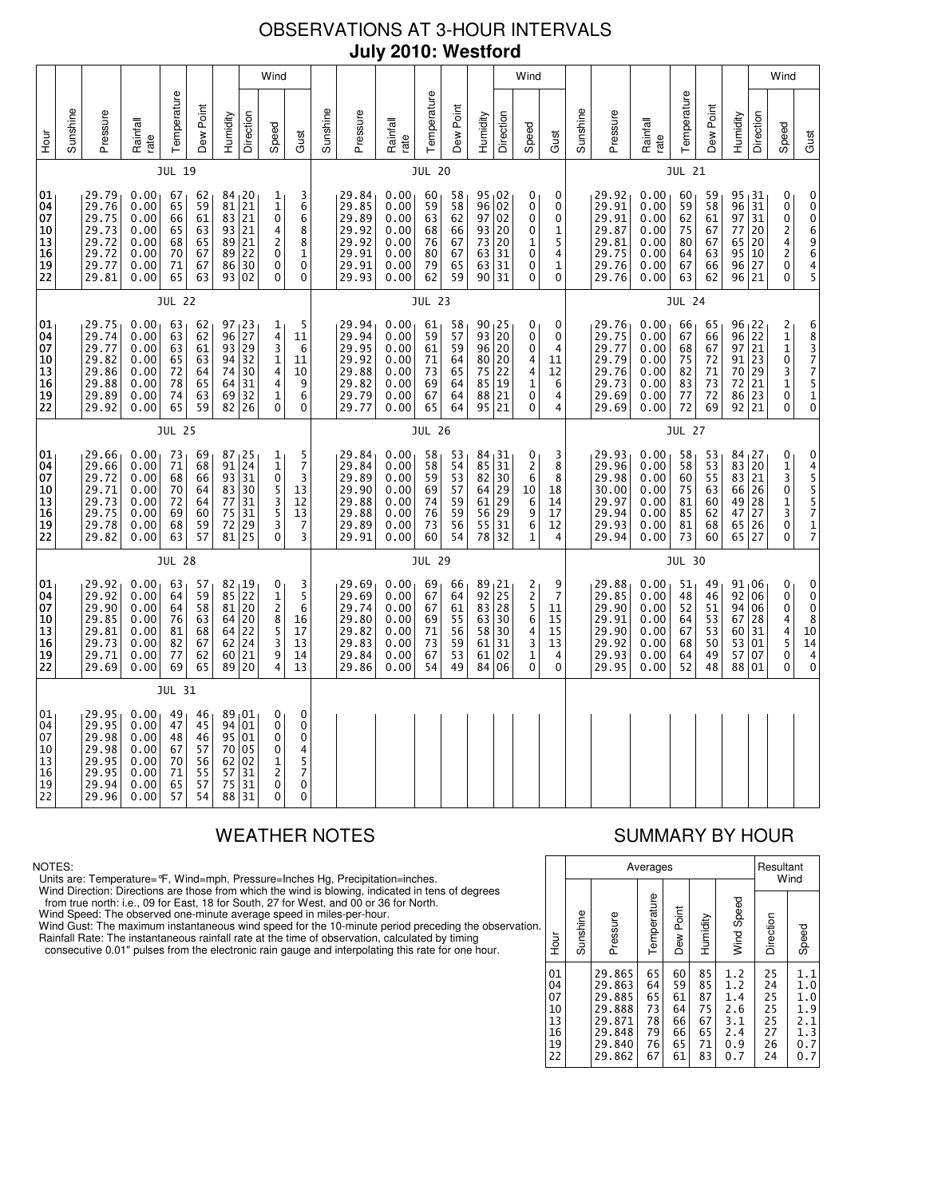# OBSERVATIONS AT 3-HOUR INTERVALS **July 2010: Westford**

|                                                           | Wind                                                                                                                                                                                                                                                                                                                                                                                             |                                                                      |                                                              |                                              |                                              |                            |                                                                    |                                                                                          |                                                                      |                                                              |                                                                      |                                                              |                                                 |                                                                       |                                                                                         | Wind                                       |                                                   |                                                                      |                                                              |                                                                      |                                                              |                                                        |                                              |                                                                 | Wind                                         |                                                              |                                                                             |
|-----------------------------------------------------------|--------------------------------------------------------------------------------------------------------------------------------------------------------------------------------------------------------------------------------------------------------------------------------------------------------------------------------------------------------------------------------------------------|----------------------------------------------------------------------|--------------------------------------------------------------|----------------------------------------------|----------------------------------------------|----------------------------|--------------------------------------------------------------------|------------------------------------------------------------------------------------------|----------------------------------------------------------------------|--------------------------------------------------------------|----------------------------------------------------------------------|--------------------------------------------------------------|-------------------------------------------------|-----------------------------------------------------------------------|-----------------------------------------------------------------------------------------|--------------------------------------------|---------------------------------------------------|----------------------------------------------------------------------|--------------------------------------------------------------|----------------------------------------------------------------------|--------------------------------------------------------------|--------------------------------------------------------|----------------------------------------------|-----------------------------------------------------------------|----------------------------------------------|--------------------------------------------------------------|-----------------------------------------------------------------------------|
| Hour                                                      | Sunshine                                                                                                                                                                                                                                                                                                                                                                                         | Pressure                                                             | Rainfall<br>rate                                             | Temperature                                  | Dew Point                                    | Humidity                   | Direction                                                          | Speed                                                                                    | Gust                                                                 | Sunshine                                                     | Pressure                                                             | Rainfall<br>rate                                             | Temperature                                     | Dew Point                                                             | Humidity                                                                                | Direction                                  | Speed                                             | Gust                                                                 | Sunshine                                                     | Pressure                                                             | Rainfall<br>rate                                             | Temperature                                            | Dew Point                                    | Humidity                                                        | Direction                                    | Speed                                                        | Gust                                                                        |
|                                                           |                                                                                                                                                                                                                                                                                                                                                                                                  |                                                                      |                                                              | <b>JUL 19</b>                                |                                              |                            |                                                                    |                                                                                          |                                                                      |                                                              |                                                                      |                                                              | <b>JUL 20</b>                                   |                                                                       |                                                                                         |                                            |                                                   |                                                                      |                                                              |                                                                      |                                                              | <b>JUL 21</b>                                          |                                              |                                                                 |                                              |                                                              |                                                                             |
| 01<br>04<br>07<br>10<br>13<br>$\overline{16}$<br>19<br>22 | 0.00<br>29.79<br>84, 20<br>67<br>62<br>1<br>21<br>29.76<br>0.00<br>65<br>59<br>81<br>$\mathbf{1}$<br>83 21<br>29.75<br>0.00<br>66<br>61<br>0<br>29.73<br>93 21<br>0.00<br>65<br>63<br>4<br>29.72<br>0.00<br>65<br>89<br>21<br>$\overline{c}$<br>68<br>89 22<br>29.72<br>0.00<br>70<br>67<br>0<br>29.77<br>71<br>86<br>30<br>$\mathbf 0$<br>0.00<br>67<br>29.81<br>65<br>63<br>93 02<br>0<br>0.00 |                                                                      |                                                              |                                              |                                              |                            | 3<br>6<br>$\overline{6}$<br>8<br>8<br>$\mathbf 1$<br>0<br>0        |                                                                                          | 29.84<br>29.85<br>29.89<br>29.92<br>29.92<br>29.91<br>29.91<br>29.93 | 0.00<br>0.00<br>0.00<br>0.00<br>0.00<br>0.00<br>0.00<br>0.00 | 60<br>59<br>63<br>68<br>76<br>80<br>79<br>62                         | 58<br>58<br>62<br>66<br>67<br>67<br>65<br>59                 | 95,02<br>96<br>97<br>93<br>73<br>63<br>63<br>90 | 02<br>02<br>20<br>$\begin{array}{c} 20 \\ 31 \end{array}$<br>31<br>31 | 0<br>0<br>0<br>0<br>1<br>0<br>0<br>0                                                    | 0<br>0<br>0<br>1<br>5<br>4<br>1<br>0       |                                                   | 29.92<br>29.91<br>29.91<br>29.87<br>29.81<br>29.75<br>29.76<br>29.76 | 0.00<br>0.00<br>0.00<br>0.00<br>0.00<br>0.00<br>0.00<br>0.00 | 60<br>59<br>62<br>75<br>80<br>64<br>67<br>63                         | 59<br>58<br>61<br>67<br>67<br>63<br>66<br>62                 | 95, 31<br>96<br>97<br>77<br>65<br>95 10<br>96<br>96 21 | 31<br>  31<br>20<br>20<br>27                 | 0<br>0<br>0<br>2<br>4<br>$\overline{\mathbf{c}}$<br>0<br>0      | 0<br>ō<br>$\bar{0}$<br>6<br>9<br>6<br>4<br>5 |                                                              |                                                                             |
|                                                           | <b>JUL 22</b>                                                                                                                                                                                                                                                                                                                                                                                    |                                                                      |                                                              |                                              |                                              |                            |                                                                    |                                                                                          |                                                                      | <b>JUL 23</b>                                                |                                                                      |                                                              |                                                 |                                                                       |                                                                                         |                                            |                                                   | <b>JUL 24</b>                                                        |                                                              |                                                                      |                                                              |                                                        |                                              |                                                                 |                                              |                                                              |                                                                             |
| 01<br>04<br>07<br>10<br> 13<br>16<br>19<br>22             |                                                                                                                                                                                                                                                                                                                                                                                                  | 29.75<br>29.74<br>29.77<br>29.82<br>29.86<br>29.88<br>29.89<br>29.92 | 0.00<br>0.00<br>0.00<br>0.00<br>0.00<br>0.00<br>0.00<br>0.00 | 63<br>63<br>63<br>65<br>72<br>78<br>74<br>65 | 62<br>62<br>61<br>63<br>64<br>65<br>63<br>59 | 74<br>69                   | $\frac{97}{96}$ 23<br>93 29<br>94 32<br>30<br>64 31<br>32<br>82 26 | 1<br>4<br>3<br>1<br>4<br>4<br>1<br>$\mathbf 0$                                           | 5<br>11<br>6<br>11<br>10<br>9<br>6<br>0                              |                                                              | 29.94<br>29.94<br>29.95<br>29.92<br>29.88<br>29.82<br>29.79<br>29.77 | 0.00<br>0.00<br>0.00<br>0.00<br>0.00<br>0.00<br>0.00<br>0.00 | 61<br>59<br>61<br>71<br>73<br>69<br>67<br>65    | 58<br>57<br>59<br>64<br>65<br>64<br>64<br>64                          | $\begin{array}{c c} 90 & 25 \\ 93 & 20 \end{array}$<br>96<br>80<br>75<br>85<br>88<br>95 | 20<br>  20<br>22<br>$\vert$ 19<br>21<br>21 | 0<br>0<br>0<br>4<br>4<br>1<br>0<br>0              | 0<br>0<br>4<br>11<br>12<br>6<br>4<br>4                               |                                                              | 29.76<br>29.75<br>29.77<br>29.79<br>29.76<br>29.73<br>29.69<br>29.69 | 0.00<br>0.00<br>0.00<br>0.00<br>0.00<br>0.00<br>0.00<br>0.00 | 66<br>67<br>68<br>75<br>82<br>83<br>77<br>72           | 65<br>66<br>67<br>72<br>71<br>73<br>72<br>69 | $96 \mid 22$<br>96<br>97<br>91 23<br>70<br>72<br>86 23<br>92    | $\overline{2}$<br> 21<br>29<br>21<br> 21     | $\frac{2}{1}$<br>$\mathbf 1$<br>0<br>3<br>1<br>0<br>$\Omega$ | 68377<br>5<br>$\begin{smallmatrix}1\0\end{smallmatrix}$                     |
|                                                           | <b>JUL 25</b>                                                                                                                                                                                                                                                                                                                                                                                    |                                                                      |                                                              |                                              |                                              |                            |                                                                    |                                                                                          |                                                                      |                                                              | <b>JUL 26</b>                                                        |                                                              |                                                 |                                                                       |                                                                                         |                                            |                                                   |                                                                      |                                                              | <b>JUL 27</b>                                                        |                                                              |                                                        |                                              |                                                                 |                                              |                                                              |                                                                             |
| 01<br>04<br>07<br>10<br> 13<br>16<br>19<br>22             |                                                                                                                                                                                                                                                                                                                                                                                                  | 29.66<br>29.66<br>29.72<br>29.71<br>29.73<br>29.75<br>29.78<br>29.82 | 0.00<br>0.00<br>0.00<br>0.00<br>0.00<br>0.00<br>0.00<br>0.00 | 73<br>71<br>68<br>70<br>72<br>69<br>68<br>63 | 69<br>68<br>66<br>64<br>64<br>60<br>59<br>57 | 93<br>77<br>75<br>72       | 87, 25<br>91 24<br>31<br>83 30<br>31<br>31<br>29<br>$81$   25      | 1<br>$\mathbf{1}$<br>0<br>5<br>$\overline{3}$<br>5<br>3<br>$\mathbf 0$                   | 5<br>7<br>3<br>13<br>12<br>13<br>7<br>3                              |                                                              | 29.84<br>29.84<br>29.89<br>29.90<br>29.88<br>29.88<br>29.89<br>29.91 | 0.00<br>0.00<br>0.00<br>0.00<br>0.00<br>0.00<br>0.00<br>0.00 | 58<br>58<br>59<br>69<br>74<br>76<br>73<br>60    | 53<br>54<br>53<br>57<br>59<br>59<br>56<br>54                          | 84, 31<br>85<br>82<br>64<br>61<br>56<br>55 31<br>78                                     | 31<br>30<br>29<br>29<br>29<br>32           | 0<br>2<br>6<br>10<br>6<br>9<br>6<br>1             | 3<br>8<br>8<br>18<br>14<br>17<br>12<br>4                             |                                                              | 29.93<br>29.96<br>29.98<br>30.00<br>29.97<br>29.94<br>29.93<br>29.94 | 0.00<br>0.00<br>0.00<br>0.00<br>0.00<br>0.00<br>0.00<br>0.00 | 58<br>58<br>60<br>75<br>81<br>85<br>81<br>73           | 53<br>53<br>55<br>63<br>60<br>62<br>68<br>60 | 84, 27<br>83 20<br>83 21<br>66 26<br>49<br>47<br>65 26<br>65 27 | 28<br>27                                     | 0<br>1<br>3<br>0<br>1<br>3<br>0<br>0                         | 0<br>4555717                                                                |
|                                                           |                                                                                                                                                                                                                                                                                                                                                                                                  |                                                                      |                                                              | <b>JUL 28</b>                                |                                              |                            |                                                                    |                                                                                          |                                                                      |                                                              |                                                                      |                                                              | <b>JUL 29</b>                                   |                                                                       |                                                                                         |                                            |                                                   |                                                                      |                                                              |                                                                      |                                                              | <b>JUL 30</b>                                          |                                              |                                                                 |                                              |                                                              |                                                                             |
| 01<br>04<br>07<br>10<br>13<br>16<br>19<br>22              |                                                                                                                                                                                                                                                                                                                                                                                                  | 29.92<br>29.92<br>29.90<br>29.85<br>29.81<br>29.73<br>29.71<br>29.69 | 0.00<br>0.00<br>0.00<br>0.00<br>0.00<br>0.00<br>0.00<br>0.00 | 63<br>64<br>64<br>76<br>81<br>82<br>77<br>69 | 57<br>59<br>58<br>63<br>68<br>67<br>62<br>65 | 81<br>64<br>62             | 82 19<br>85 22<br>20<br>64 20<br>22<br>24<br>60 21<br>89 20        | 0<br>$\mathbf{1}$<br>$\overline{c}$<br>8<br>5<br>3<br>9<br>4                             | 3<br>5<br>6<br>16<br>17<br>13<br>14<br>13                            |                                                              | 29.69<br>29.69<br>29.74<br>29.80<br>29.82<br>29.83<br>29.84<br>29.86 | 0.00<br>0.00<br>0.00<br>0.00<br>0.00<br>0.00<br>0.00<br>0.00 | 69<br>67<br>67<br>69<br>71<br>73<br>67<br>54    | 66<br>64<br>61<br>55<br>56<br>59<br>53<br>49                          | 89,21<br>92<br>83 28<br>63<br>58<br>61<br>61<br>84 06                                   | 25<br>30<br>30<br>31<br>02                 | 2<br>$\overline{c}$<br>5<br>6<br>4<br>3<br>1<br>0 | 9<br>$\overline{7}$<br>11<br>15<br>15<br>13<br>4<br>0                |                                                              | 29.88<br>29.85<br>29.90<br>29.91<br>29.90<br>29.92<br>29.93<br>29.95 | 0.00<br>0.00<br>0.00<br>0.00<br>0.00<br>0.00<br>0.00<br>0.00 | 51<br>48<br>52<br>64<br>67<br>68<br>64<br>52           | 49<br>46<br>51<br>53<br>53<br>50<br>49<br>48 | 91,06<br>92<br>94 06<br>67<br>60<br>53<br>57 07<br>88           | 06<br>28<br>31<br>01<br>  01                 | 0<br>0<br>0<br>4<br>$\frac{4}{5}$<br>0<br>$\mathbf{0}$       | 0<br>$\begin{smallmatrix}0\0\0\end{smallmatrix}$<br>8<br>10<br>14<br>4<br>0 |
|                                                           |                                                                                                                                                                                                                                                                                                                                                                                                  |                                                                      |                                                              | <b>JUL 31</b>                                |                                              |                            |                                                                    |                                                                                          |                                                                      |                                                              |                                                                      |                                                              |                                                 |                                                                       |                                                                                         |                                            |                                                   |                                                                      |                                                              |                                                                      |                                                              |                                                        |                                              |                                                                 |                                              |                                                              |                                                                             |
| 01<br>04<br>07<br>10<br>13<br>$\overline{16}$<br>19<br>22 |                                                                                                                                                                                                                                                                                                                                                                                                  | 29.95<br>29.95<br>29.98<br>29.98<br>29.95<br>29.95<br>29.94<br>29.96 | 0.00<br>0.00<br>0.00<br>0.00<br>0.00<br>0.00<br>0.00<br>0.00 | 49<br>47<br>48<br>67<br>70<br>71<br>65<br>57 | 46<br>45<br>46<br>57<br>56<br>55<br>57<br>54 | 70<br>62<br>57<br>75<br>88 | 89 01<br>94 01<br>95 01<br>05<br>02<br>31<br>31<br>31              | 0<br>$\mathbf 0$<br>0<br>0<br>1<br>$\overline{\mathbf{c}}$<br>$\mathbf 0$<br>$\mathbf 0$ | 0<br>0<br>0<br>4<br>5<br>$\overline{7}$<br>0<br>0                    |                                                              |                                                                      |                                                              |                                                 |                                                                       |                                                                                         |                                            |                                                   |                                                                      |                                                              |                                                                      |                                                              |                                                        |                                              |                                                                 |                                              |                                                              |                                                                             |

### NOTES:

Units are: Temperature=°F, Wind=mph, Pressure=Inches Hg, Precipitation=inches.

Wind Direction: Directions are those from which the wind is blowing, indicated in tens of degrees<br>from true north: i.e., 09 for East, 18 for South, 27 for West, and 00 or 36 for North.<br>Wind Speed: The observed one-minute a

Wind Gust: The maximum instantaneous wind speed for the 10-minute period preceding the observation Rainfall Rate: The instantaneous rainfall rate at the time of observation, calculated by timing

consecutive 0.01" pulses from the electronic rain gauge and interpolating this rate for one hour.

# WEATHER NOTES SUMMARY BY HOUR

|    |                                              |          | Averages                                                                     | Resultant                                    | Wind                                         |                                              |                                                      |                                              |                                                      |
|----|----------------------------------------------|----------|------------------------------------------------------------------------------|----------------------------------------------|----------------------------------------------|----------------------------------------------|------------------------------------------------------|----------------------------------------------|------------------------------------------------------|
| n. | Hour                                         | Sunshine | Pressure                                                                     | Temperature                                  | Dew Point                                    | Humidity                                     | Wind Speed                                           | Direction                                    | Speed                                                |
|    | 01<br>04<br>07<br>10<br>13<br>16<br>19<br>22 |          | 29.865<br>29.863<br>29.885<br>29.888<br>29.871<br>29.848<br>29.840<br>29.862 | 65<br>64<br>65<br>73<br>78<br>79<br>76<br>67 | 60<br>59<br>61<br>64<br>66<br>66<br>65<br>61 | 85<br>85<br>87<br>75<br>67<br>65<br>71<br>83 | 1.2<br>1.2<br>1.4<br>2.6<br>3.1<br>2.4<br>0.9<br>0.7 | 25<br>24<br>25<br>25<br>25<br>27<br>26<br>24 | 1.1<br>1.0<br>1.0<br>1.9<br>2.1<br>1.3<br>0.7<br>0.7 |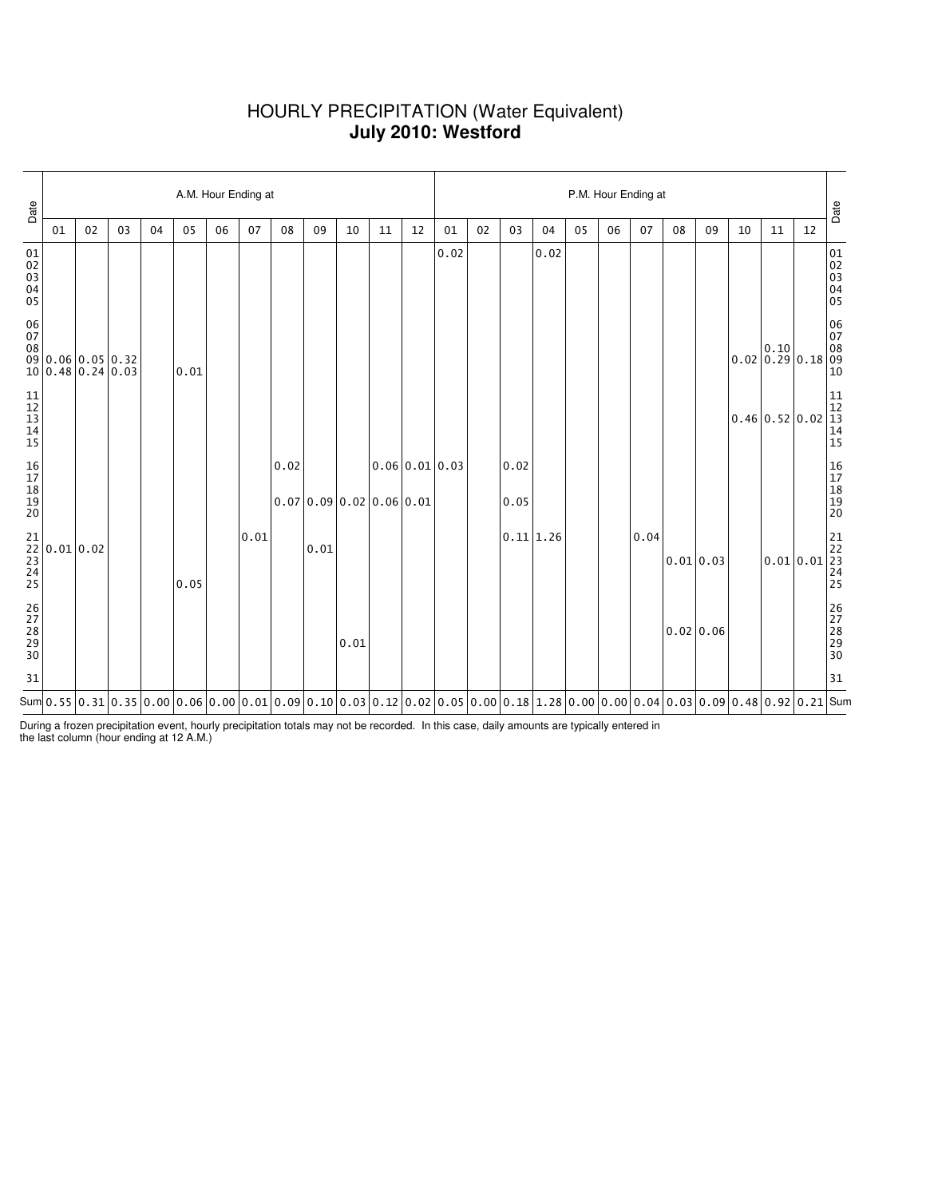## HOURLY PRECIPITATION (Water Equivalent) **July 2010: Westford**

| Date                                                      |                                                                            |    |    |    |      | A.M. Hour Ending at |      |      |      |                          |    |                | P.M. Hour Ending at                                                                                                                                                                |    |              |           |    |    |      |           |    |                                                        |    |                                                                          |                                                                                                |  |
|-----------------------------------------------------------|----------------------------------------------------------------------------|----|----|----|------|---------------------|------|------|------|--------------------------|----|----------------|------------------------------------------------------------------------------------------------------------------------------------------------------------------------------------|----|--------------|-----------|----|----|------|-----------|----|--------------------------------------------------------|----|--------------------------------------------------------------------------|------------------------------------------------------------------------------------------------|--|
|                                                           | 01                                                                         | 02 | 03 | 04 | 05   | 06                  | 07   | 08   | 09   | 10                       | 11 | 12             | 01                                                                                                                                                                                 | 02 | 03           | 04        | 05 | 06 | 07   | 08        | 09 | 10                                                     | 11 | 12                                                                       | Date                                                                                           |  |
| 01<br>02<br>03<br>04<br>05                                |                                                                            |    |    |    |      |                     |      |      |      |                          |    |                | 0.02                                                                                                                                                                               |    |              | 0.02      |    |    |      |           |    |                                                        |    |                                                                          | 01<br>02<br>03<br>04<br>05                                                                     |  |
| $\begin{array}{c} 06 \\ 07 \end{array}$<br>08             | 09 0.06 0.05 0.32<br>10 0.48 0.24 0.03                                     |    |    |    | 0.01 |                     |      |      |      |                          |    |                |                                                                                                                                                                                    |    |              |           |    |    |      |           |    | $\begin{bmatrix} 0.10 \\ 0.02 \end{bmatrix}$ 0.29 0.18 |    |                                                                          | 06<br>07<br>08<br>09<br>$10\,$                                                                 |  |
| $\begin{array}{c} 11 \\ 12 \\ 13 \\ 14 \end{array}$<br>15 |                                                                            |    |    |    |      |                     |      |      |      |                          |    |                |                                                                                                                                                                                    |    |              |           |    |    |      |           |    | 0.46 0.52 0.02                                         |    |                                                                          | $\begin{array}{ c c }\n11 \\ 12 \\ 13\n\end{array}$<br>$\begin{array}{c} 14 \\ 15 \end{array}$ |  |
| 16<br>17<br>18<br>19<br>19<br>20                          |                                                                            |    |    |    |      |                     |      | 0.02 |      | 0.07 0.09 0.02 0.06 0.01 |    | 0.06 0.01 0.03 |                                                                                                                                                                                    |    | 0.02<br>0.05 |           |    |    |      |           |    |                                                        |    |                                                                          | 16<br>17<br>18<br>19<br>19<br>20                                                               |  |
|                                                           | $\begin{bmatrix} 21 \\ 22 \\ 23 \\ 23 \\ 24 \\ 25 \end{bmatrix}$ 0.01 0.02 |    |    |    | 0.05 |                     | 0.01 |      | 0.01 |                          |    |                |                                                                                                                                                                                    |    |              | 0.11 1.26 |    |    | 0.04 | 0.01 0.03 |    |                                                        |    | $\begin{bmatrix} 21 \\ 22 \\ 23 \\ 0.01 \\ 24 \\ 24 \\ 25 \end{bmatrix}$ |                                                                                                |  |
| 26<br>27<br>28<br>29<br>29<br>30                          |                                                                            |    |    |    |      |                     |      |      |      | 0.01                     |    |                |                                                                                                                                                                                    |    |              |           |    |    |      | 0.02 0.06 |    |                                                        |    |                                                                          | 26<br>27<br>28<br>29<br>29<br>30                                                               |  |
| 31                                                        |                                                                            |    |    |    |      |                     |      |      |      |                          |    |                |                                                                                                                                                                                    |    |              |           |    |    |      |           |    |                                                        |    |                                                                          | 31                                                                                             |  |
|                                                           |                                                                            |    |    |    |      |                     |      |      |      |                          |    |                | Sum $ 0.55\, 0.31\, 0.35\, 0.00\, 0.06\, 0.00\, 0.01\, 0.09\, 0.10\, 0.03\, 0.12\, 0.02\, 0.05\, 0.00\, 0.18\, 1.28\, 0.00\, 0.00\, 0.04\, 0.03\, 0.09\, 0.48\, 0.92\, 0.21\, Sum$ |    |              |           |    |    |      |           |    |                                                        |    |                                                                          |                                                                                                |  |

During a frozen precipitation event, hourly precipitation totals may not be recorded. In this case, daily amounts are typically entered in the last column (hour ending at 12 A.M.)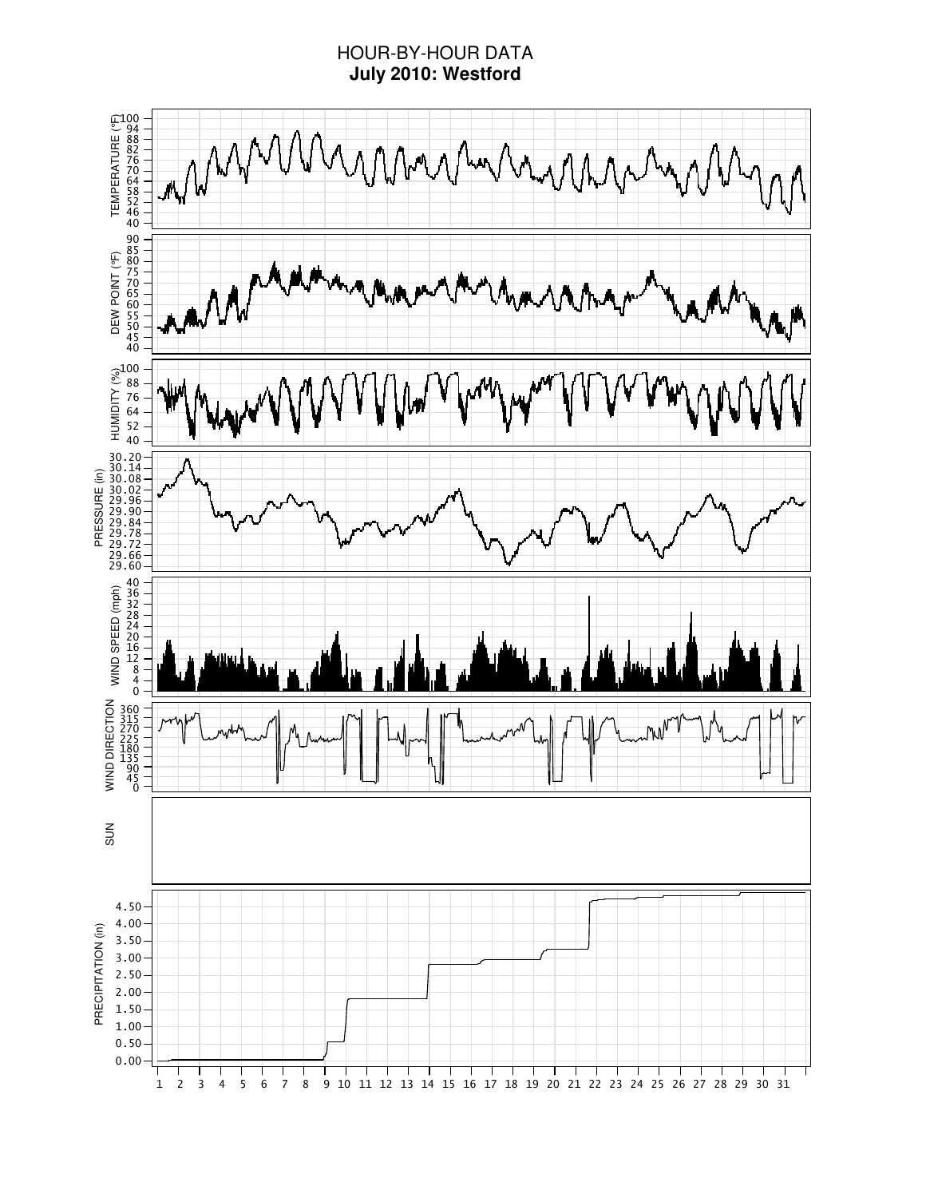# HOUR-BY-HOUR DATA **July 2010: Westford**